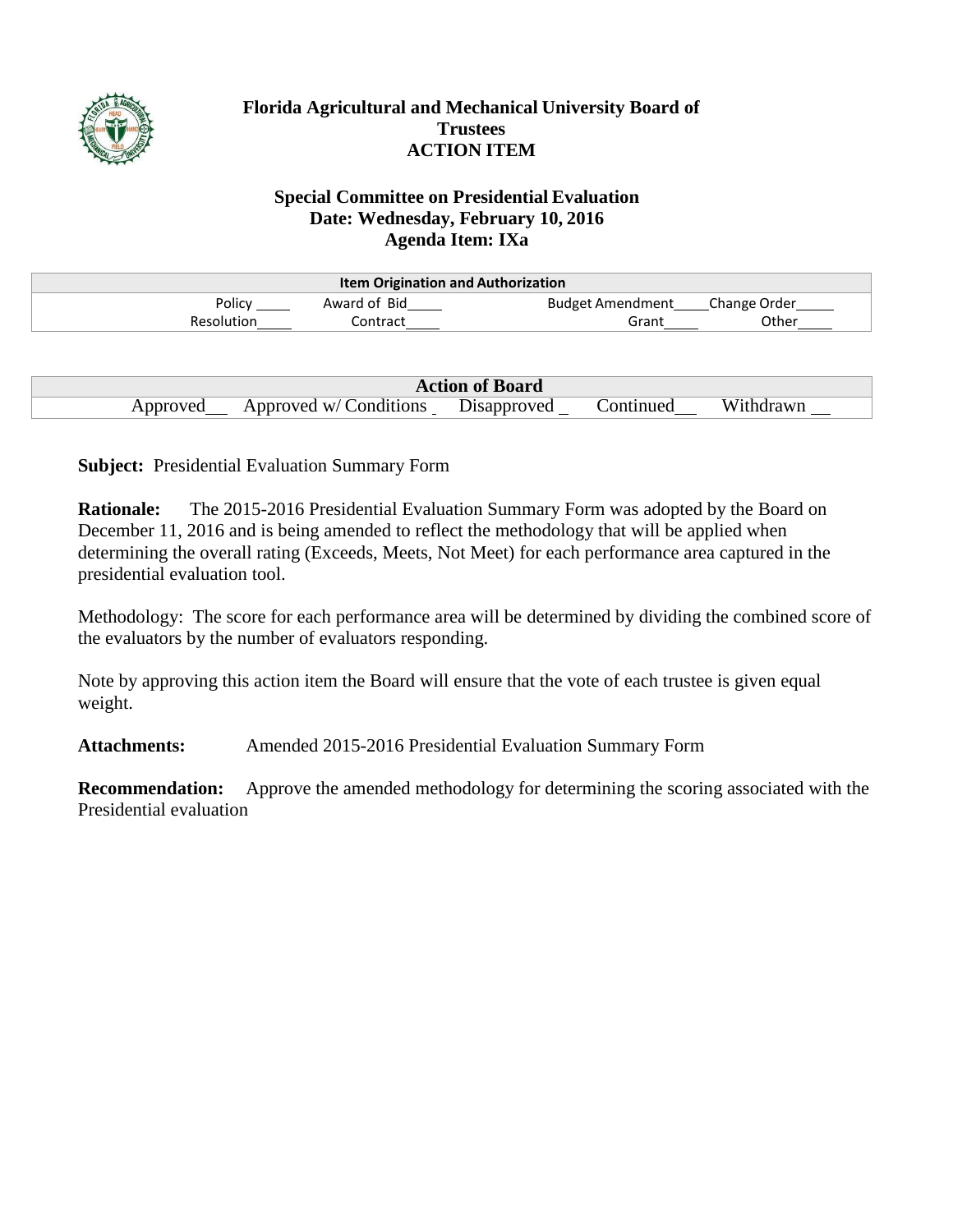

## **Florida Agricultural and Mechanical University Board of Trustees ACTION ITEM**

## **Special Committee on Presidential Evaluation Date: Wednesday, February 10, 2016 Agenda Item: IXa**

| <b>Item Origination and Authorization</b> |                                         |                |  |  |  |  |  |  |  |  |  |
|-------------------------------------------|-----------------------------------------|----------------|--|--|--|--|--|--|--|--|--|
| Policy                                    | <b>Budget Amendment</b><br>Change Order |                |  |  |  |  |  |  |  |  |  |
| Resolution                                | Contract                                | Other<br>Grant |  |  |  |  |  |  |  |  |  |

|          | <b>Action of Board</b>            |  |           |           |  |  |  |  |  |  |  |  |  |
|----------|-----------------------------------|--|-----------|-----------|--|--|--|--|--|--|--|--|--|
| Approved | Approved w/Conditions Disapproved |  | Continued | Withdrawn |  |  |  |  |  |  |  |  |  |

**Subject:** Presidential Evaluation Summary Form

**Rationale:** The 2015-2016 Presidential Evaluation Summary Form was adopted by the Board on December 11, 2016 and is being amended to reflect the methodology that will be applied when determining the overall rating (Exceeds, Meets, Not Meet) for each performance area captured in the presidential evaluation tool.

Methodology: The score for each performance area will be determined by dividing the combined score of the evaluators by the number of evaluators responding.

Note by approving this action item the Board will ensure that the vote of each trustee is given equal weight.

**Attachments:** Amended 2015-2016 Presidential Evaluation Summary Form

**Recommendation:** Approve the amended methodology for determining the scoring associated with the Presidential evaluation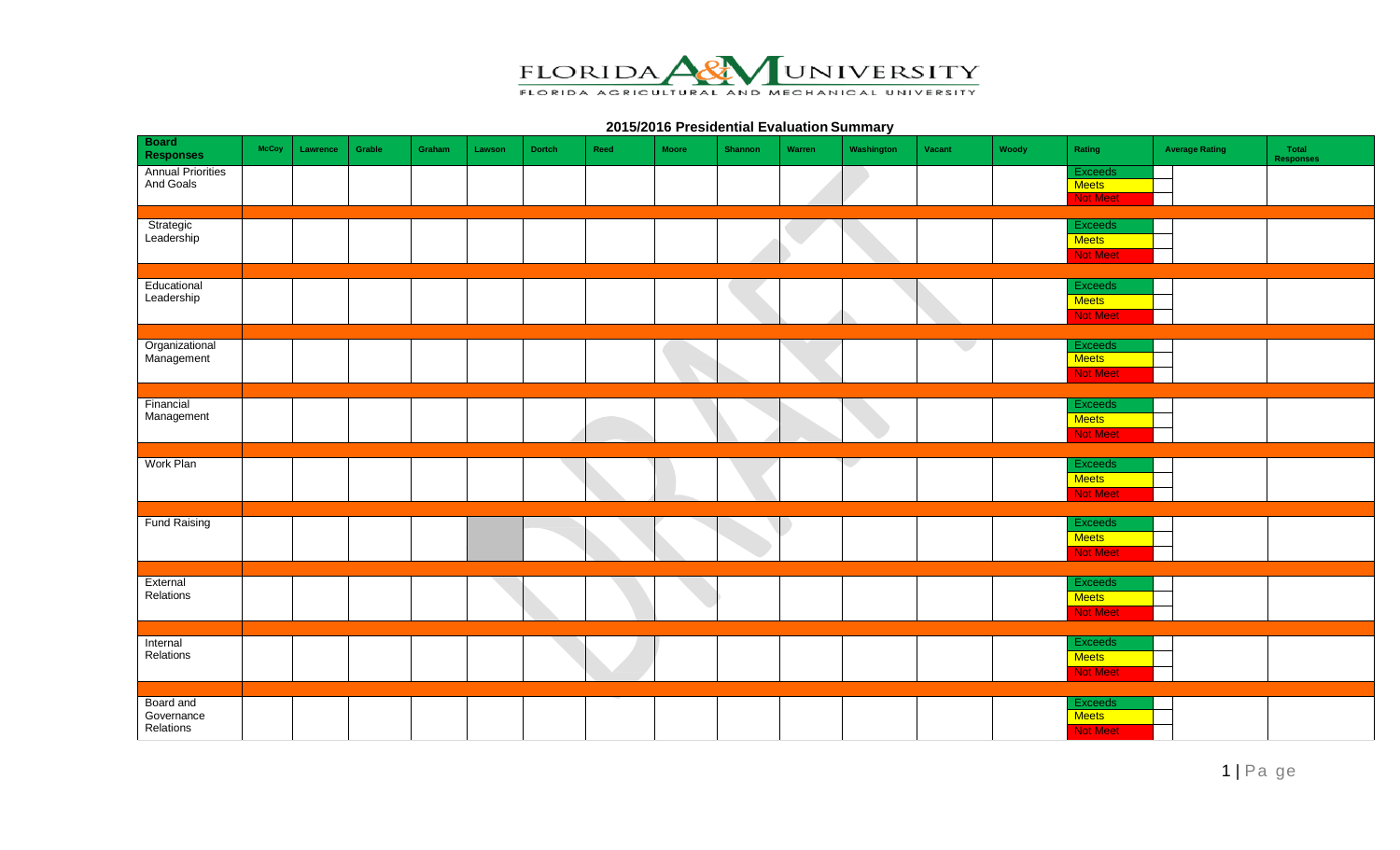

## **2015/2016 Presidential Evaluation Summary**

| <b>Board</b><br><b>Responses</b> | <b>McCoy</b> | Grable<br>Lawrence | Graham | Lawson | <b>Dortch</b> | Reed | <b>Moore</b> | Shannon | Warren | Washington | Vacant | Woody | Rating                          | <b>Average Rating</b> | <b>Total</b><br><b>Responses</b> |
|----------------------------------|--------------|--------------------|--------|--------|---------------|------|--------------|---------|--------|------------|--------|-------|---------------------------------|-----------------------|----------------------------------|
| <b>Annual Priorities</b>         |              |                    |        |        |               |      |              |         |        |            |        |       | Exceeds                         |                       |                                  |
| And Goals                        |              |                    |        |        |               |      |              |         |        |            |        |       | <b>Meets</b><br><b>Not Meet</b> |                       |                                  |
|                                  |              |                    |        |        |               |      |              |         |        |            |        |       |                                 |                       |                                  |
| Strategic                        |              |                    |        |        |               |      |              |         |        |            |        |       | Exceeds                         |                       |                                  |
| Leadership                       |              |                    |        |        |               |      |              |         |        |            |        |       | <b>Meets</b>                    |                       |                                  |
|                                  |              |                    |        |        |               |      |              |         |        |            |        |       | <b>Not Meet</b>                 |                       |                                  |
|                                  |              |                    |        |        |               |      |              |         |        |            |        |       |                                 |                       |                                  |
| Educational<br>Leadership        |              |                    |        |        |               |      |              |         |        |            |        |       | Exceeds<br><b>Meets</b>         |                       |                                  |
|                                  |              |                    |        |        |               |      |              |         |        |            |        |       | <b>Not Meet</b>                 |                       |                                  |
|                                  |              |                    |        |        |               |      |              |         |        |            |        |       |                                 |                       |                                  |
| Organizational                   |              |                    |        |        |               |      |              |         |        |            | e.     |       | Exceeds                         |                       |                                  |
| Management                       |              |                    |        |        |               |      |              |         |        |            |        |       | <b>Meets</b>                    |                       |                                  |
|                                  |              |                    |        |        |               |      |              |         |        |            |        |       | <b>Not Meet</b>                 |                       |                                  |
|                                  |              |                    |        |        |               |      |              |         |        |            |        |       |                                 |                       |                                  |
| Financial                        |              |                    |        |        |               |      |              |         |        |            |        |       | Exceeds                         |                       |                                  |
| Management                       |              |                    |        |        |               |      |              |         |        |            |        |       | <b>Meets</b>                    |                       |                                  |
|                                  |              |                    |        |        |               |      |              |         |        |            |        |       | <b>Not Meet</b>                 |                       |                                  |
| Work Plan                        |              |                    |        |        |               |      |              |         |        |            |        |       | Exceeds                         |                       |                                  |
|                                  |              |                    |        |        |               |      |              |         |        |            |        |       | <b>Meets</b>                    |                       |                                  |
|                                  |              |                    |        |        |               |      |              |         |        |            |        |       | <b>Not Meet</b>                 |                       |                                  |
|                                  |              |                    |        |        |               |      |              |         |        |            |        |       |                                 |                       |                                  |
| <b>Fund Raising</b>              |              |                    |        |        |               |      |              |         |        |            |        |       | Exceeds                         |                       |                                  |
|                                  |              |                    |        |        |               |      |              |         |        |            |        |       | <b>Meets</b>                    |                       |                                  |
|                                  |              |                    |        |        |               |      |              |         |        |            |        |       | <b>Not Meet</b>                 |                       |                                  |
|                                  |              |                    |        |        |               |      |              |         |        |            |        |       |                                 |                       |                                  |
| External<br>Relations            |              |                    |        |        |               |      |              |         |        |            |        |       | Exceeds<br><b>Meets</b>         |                       |                                  |
|                                  |              |                    |        |        |               |      |              |         |        |            |        |       | <b>Not Meet</b>                 |                       |                                  |
|                                  |              |                    |        |        |               |      |              |         |        |            |        |       |                                 |                       |                                  |
| Internal                         |              |                    |        |        |               |      |              |         |        |            |        |       | Exceeds                         |                       |                                  |
| Relations                        |              |                    |        |        |               |      |              |         |        |            |        |       | <b>Meets</b>                    |                       |                                  |
|                                  |              |                    |        |        |               |      |              |         |        |            |        |       | <b>Not Meet</b>                 |                       |                                  |
|                                  |              |                    |        |        |               |      |              |         |        |            |        |       |                                 |                       |                                  |
| Board and                        |              |                    |        |        |               |      |              |         |        |            |        |       | Exceeds                         |                       |                                  |
| Governance<br>Relations          |              |                    |        |        |               |      |              |         |        |            |        |       | <b>Meets</b><br>Not Meet        |                       |                                  |
|                                  |              |                    |        |        |               |      |              |         |        |            |        |       |                                 |                       |                                  |